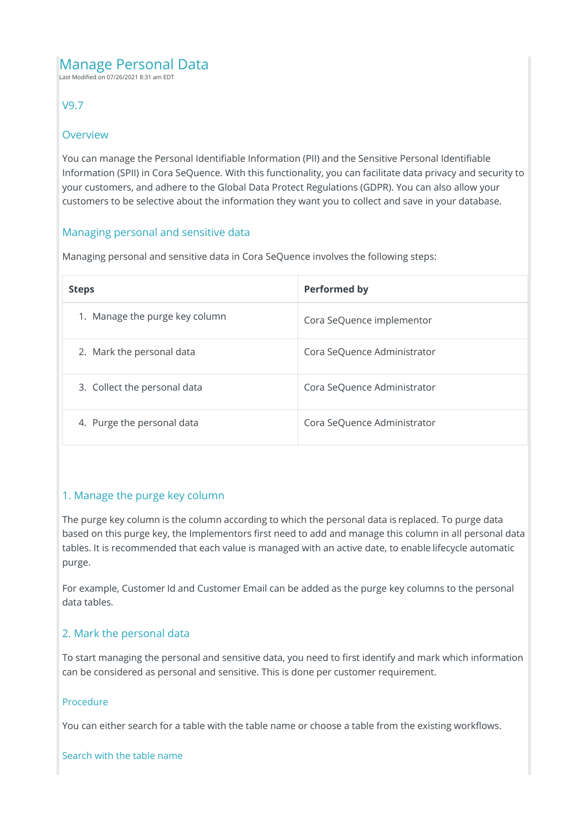# Manage Personal Data

Last Modified on 07/26/2021 8:31 am EDT

# V9.7

## Overview

You can manage the Personal Identifiable Information (PII) and the Sensitive Personal Identifiable Information (SPII) in Cora SeQuence. With this functionality, you can facilitate data privacy and security to your customers, and adhere to the Global Data Protect Regulations (GDPR). You can also allow your customers to be selective about the information they want you to collect and save in your database.

# Managing personal and sensitive data

Managing personal and sensitive data in Cora SeQuence involves the following steps:

| <b>Steps</b>                   | <b>Performed by</b>         |
|--------------------------------|-----------------------------|
| 1. Manage the purge key column | Cora SeQuence implementor   |
| 2. Mark the personal data      | Cora SeQuence Administrator |
| 3. Collect the personal data   | Cora SeQuence Administrator |
| 4. Purge the personal data     | Cora SeQuence Administrator |

# 1. Manage the purge key column

The purge key column is the column according to which the personal data is replaced. To purge data based on this purge key, the Implementors first need to add and manage this column in all personal data tables. It is recommended that each value is managed with an active date, to enable lifecycle automatic purge.

For example, Customer Id and Customer Email can be added as the purge key columns to the personal data tables.

# 2. Mark the personal data

To start managing the personal and sensitive data, you need to first identify and mark which information can be considered as personal and sensitive. This is done per customer requirement.

### Procedure

You can either search for a table with the table name or choose a table from the existing workflows.

### Search with the table name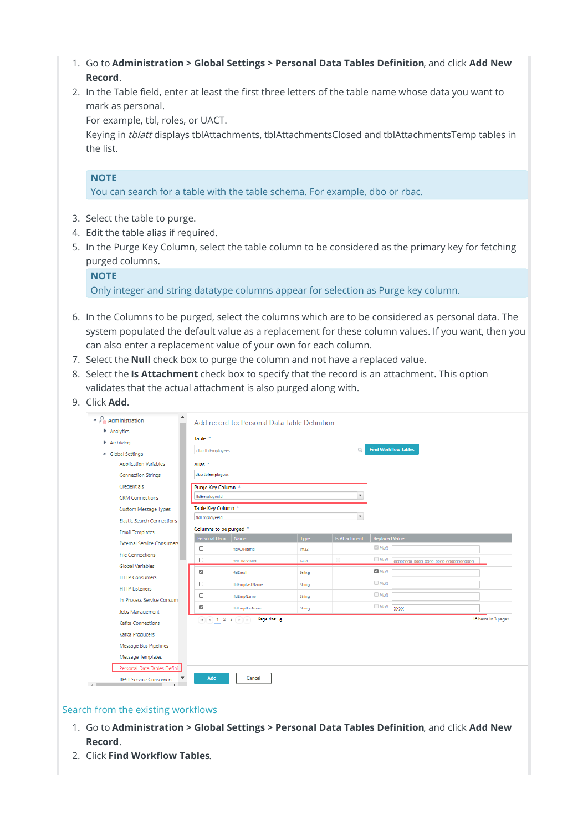- 1. Go to **Administration > Global Settings > Personal Data Tables Definition**, and click **Add New Record**.
- 2. In the Table field, enter at least the first three letters of the table name whose data you want to mark as personal.

For example, tbl, roles, or UACT.

Keying in tblatt displays tblAttachments, tblAttachmentsClosed and tblAttachmentsTemp tables in the list.

#### **NOTE**

You can search for a table with the table schema. For example, dbo or rbac.

- 3. Select the table to purge.
- 4. Edit the table alias if required.
- 5. In the Purge Key Column, select the table column to be considered as the primary key for fetching purged columns.

| <b>NOTE</b>                                                                        |
|------------------------------------------------------------------------------------|
| Only integer and string datatype columns appear for selection as Purge key column. |

- 6. In the Columns to be purged, select the columns which are to be considered as personal data. The system populated the default value as a replacement for these column values. If you want, then you can also enter a replacement value of your own for each column.
- 7. Select the **Null** check box to purge the column and not have a replaced value.
- 8. Select the **Is Attachment** check box to specify that the record is an attachment. This option validates that the actual attachment is also purged along with.
- 9. Click **Add**.

| Analytics                         | Table *                  |                                     |        |                          |                       |                             |  |
|-----------------------------------|--------------------------|-------------------------------------|--------|--------------------------|-----------------------|-----------------------------|--|
| Archiving                         |                          |                                     |        | $\Box$                   |                       | <b>Find Workflow Tables</b> |  |
| - Global Settings                 | dbo.tblEmployees         |                                     |        |                          |                       |                             |  |
| <b>Application Variables</b>      | Alias *                  |                                     |        |                          |                       |                             |  |
| <b>Connection Strings</b>         | dbo.tblEmployees         |                                     |        |                          |                       |                             |  |
| Credentials                       | Purge Key Column *       |                                     |        |                          |                       |                             |  |
| <b>CRM Connections</b>            | fidEmployeeId            |                                     |        | $\star$                  |                       |                             |  |
| Custom Message Types              | Table Key Column *       |                                     |        |                          |                       |                             |  |
| <b>Elastic Search Connections</b> | fldEmployeeld            |                                     |        | $\overline{\phantom{a}}$ |                       |                             |  |
| <b>Email Templates</b>            |                          | Columns to be purged *              |        |                          |                       |                             |  |
| <b>External Service Consumers</b> | Personal Data            | Name                                | Type   | Is Attachment            | <b>Replaced Value</b> |                             |  |
| <b>File Connections</b>           | o                        | fidADFilterid                       | Int32  |                          | Mull                  |                             |  |
| Global Variables                  | σ                        | fidCalendarid                       | Guid   | $\Box$                   |                       |                             |  |
| <b>HTTP Consumers</b>             | $\overline{\mathcal{L}}$ | fidEmail                            | String |                          | $\Box$ Null           |                             |  |
| <b>HTTP Listeners</b>             | O                        | fidEmpLastName                      | String |                          | $\Box$ Null           |                             |  |
| In-Process Service Consumi        | □                        | fldEmpName                          | String |                          | $\Box$ Null           |                             |  |
| Jobs Management                   | ☑                        | fidEmpUseName                       | String |                          | $\Box$ Null XXXX      |                             |  |
| Kafka Connections                 |                          | $H(4)$ 1 2 3 $F(H)$<br>Page size: 6 |        |                          |                       | 16 items in 3 pages         |  |
| Kafka Producers                   |                          |                                     |        |                          |                       |                             |  |
| Message Bus Pipelines             |                          |                                     |        |                          |                       |                             |  |
| Message Templates                 |                          |                                     |        |                          |                       |                             |  |
|                                   |                          |                                     |        |                          |                       |                             |  |

#### Search from the existing workflows

- 1. Go to **Administration > Global Settings > Personal Data Tables Definition**, and click **Add New Record**.
- 2. Click **Find Workflow Tables**.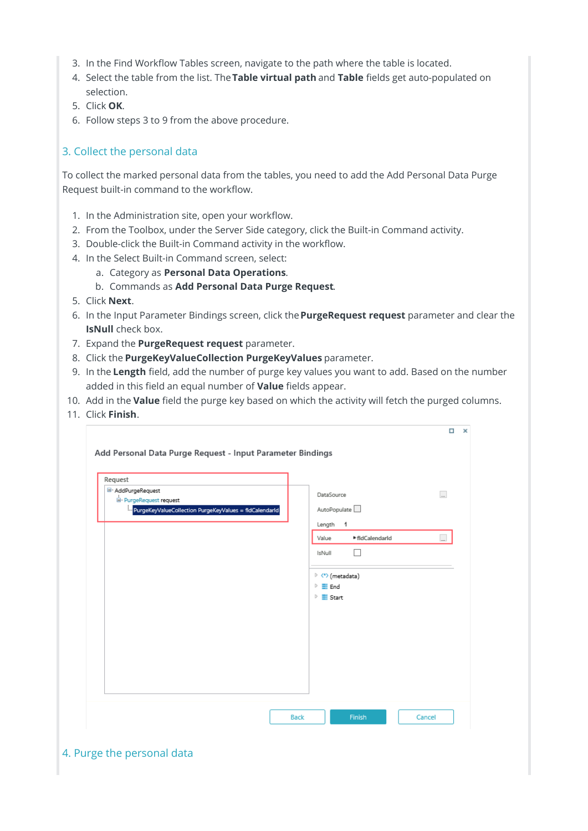- 3. In the Find Workflow Tables screen, navigate to the path where the table is located.
- 4. Select the table from the list. The**Table virtual path** and **Table** fields get auto-populated on selection.
- 5. Click **OK**.
- 6. Follow steps 3 to 9 from the above procedure.

# 3. Collect the personal data

To collect the marked personal data from the tables, you need to add the Add Personal Data Purge Request built-in command to the workflow.

- 1. In the Administration site, open your workflow.
- 2. From the Toolbox, under the Server Side category, click the Built-in Command activity.
- 3. Double-click the Built-in Command activity in the workflow.
- 4. In the Select Built-in Command screen, select:
	- a. Category as **Personal Data Operations**.
		- b. Commands as **Add Personal Data Purge Request**.
- 5. Click **Next**.
- 6. In the Input Parameter Bindings screen, click the**PurgeRequest request** parameter and clear the **IsNull** check box.
- 7. Expand the **PurgeRequest request** parameter.
- 8. Click the **PurgeKeyValueCollection PurgeKeyValues** parameter.
- 9. In the **Length** field, add the number of purge key values you want to add. Based on the number added in this field an equal number of **Value** fields appear.
- 10. Add in the **Value** field the purge key based on which the activity will fetch the purged columns.
- 11. Click **Finish**.

| Request                                                |                                 |                 |                          |
|--------------------------------------------------------|---------------------------------|-----------------|--------------------------|
| E- AddPurgeRequest<br>E- PurgeRequest request          | DataSource                      |                 | $\overline{\phantom{a}}$ |
| PurgeKeyValueCollection PurgeKeyValues = fldCalendarId | AutoPopulate                    |                 |                          |
|                                                        | Length 1                        |                 |                          |
|                                                        | Value                           | ▶ fldCalendarld | Ô                        |
|                                                        | IsNull                          |                 |                          |
|                                                        | $\triangleright$ (*) (metadata) |                 |                          |
|                                                        | $\triangleright$ $\equiv$ End   |                 |                          |
|                                                        | $\triangleright$ $\equiv$ Start |                 |                          |
|                                                        |                                 |                 |                          |
|                                                        |                                 |                 |                          |
|                                                        |                                 |                 |                          |
|                                                        |                                 |                 |                          |
|                                                        |                                 |                 |                          |
|                                                        |                                 |                 |                          |

4. Purge the personal data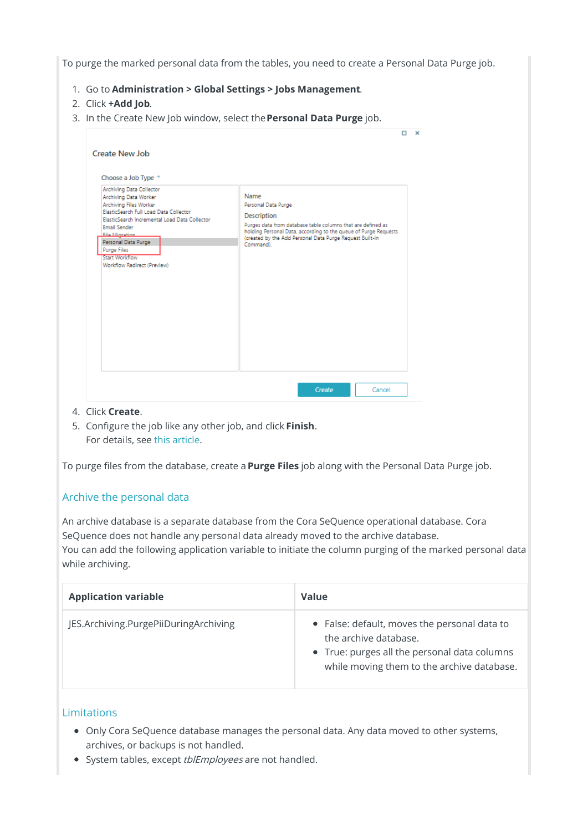To purge the marked personal data from the tables, you need to create a Personal Data Purge job.

- 1. Go to **Administration > Global Settings > Jobs Management**.
- 2. Click **+Add Job**.
- 3. In the Create New Job window, select the**Personal Data Purge** job.

| Choose a Job Type *<br>Archiving Data Collector                                                                                     |                                                                                                                                                                                                         |
|-------------------------------------------------------------------------------------------------------------------------------------|---------------------------------------------------------------------------------------------------------------------------------------------------------------------------------------------------------|
| Archiving Data Worker<br>Archiving Files Worker                                                                                     | Name<br>Personal Data Purge                                                                                                                                                                             |
| ElasticSearch Full Load Data Collector<br>ElasticSearch Incremental Load Data Collector                                             | Description                                                                                                                                                                                             |
| <b>Email Sender</b><br>File Minration<br>Personal Data Purge<br>Purge Files<br><b>Start Workflow</b><br>Workflow Redirect (Preview) | Purges data from database table columns that are defined as<br>holding Personal Data, according to the queue of Purge Requests<br>(created by the Add Personal Data Purge Request Built-in<br>Command). |
|                                                                                                                                     |                                                                                                                                                                                                         |

- 4. Click **Create**.
- 5. Configure the job like any other job, and click **Finish**. For details, see this article.

To purge files from the database, create a **Purge Files** job along with the Personal Data Purge job.

### Archive the personal data

An archive database is a separate database from the Cora SeQuence operational database. Cora SeQuence does not handle any personal data already moved to the archive database. You can add the following application variable to initiate the column purging of the marked personal data while archiving.

| <b>Application variable</b>           | Value                                                                                                                                                               |
|---------------------------------------|---------------------------------------------------------------------------------------------------------------------------------------------------------------------|
| JES.Archiving.PurgePiiDuringArchiving | • False: default, moves the personal data to<br>the archive database.<br>• True: purges all the personal data columns<br>while moving them to the archive database. |

## Limitations

- Only Cora SeQuence database manages the personal data. Any data moved to other systems, archives, or backups is not handled.
- System tables, except tblEmployees are not handled.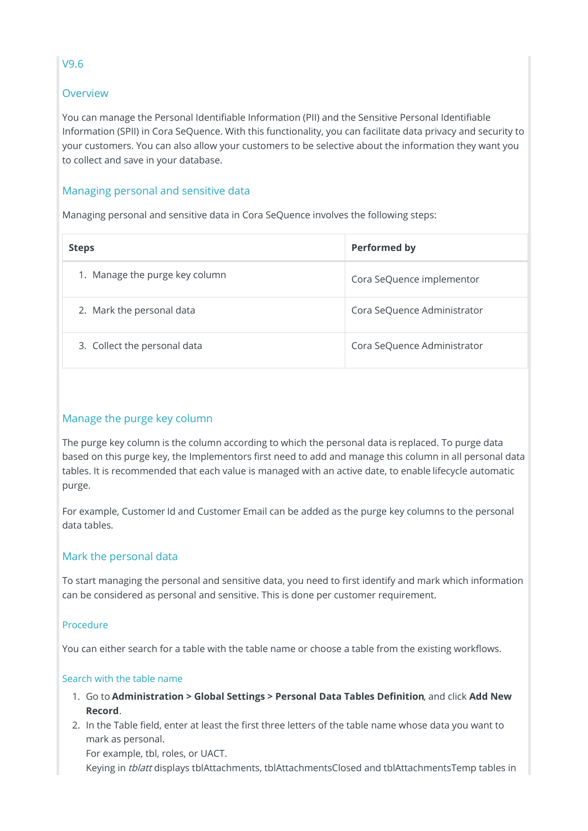# **Overview**

You can manage the Personal Identifiable Information (PII) and the Sensitive Personal Identifiable Information (SPII) in Cora SeQuence. With this functionality, you can facilitate data privacy and security to your customers. You can also allow your customers to be selective about the information they want you to collect and save in your database.

# Managing personal and sensitive data

Managing personal and sensitive data in Cora SeQuence involves the following steps:

| <b>Steps</b>                      | <b>Performed by</b>         |
|-----------------------------------|-----------------------------|
| Manage the purge key column<br>1. | Cora SeQuence implementor   |
| 2. Mark the personal data         | Cora SeQuence Administrator |
| 3. Collect the personal data      | Cora SeQuence Administrator |

# Manage the purge key column

The purge key column is the column according to which the personal data is replaced. To purge data based on this purge key, the Implementors first need to add and manage this column in all personal data tables. It is recommended that each value is managed with an active date, to enable lifecycle automatic purge.

For example, Customer Id and Customer Email can be added as the purge key columns to the personal data tables.

### Mark the personal data

To start managing the personal and sensitive data, you need to first identify and mark which information can be considered as personal and sensitive. This is done per customer requirement.

### Procedure

You can either search for a table with the table name or choose a table from the existing workflows.

### Search with the table name

- 1. Go to **Administration > Global Settings > Personal Data Tables Definition**, and click **Add New Record**.
- 2. In the Table field, enter at least the first three letters of the table name whose data you want to mark as personal.

For example, tbl, roles, or UACT.

Keying in tblatt displays tblAttachments, tblAttachmentsClosed and tblAttachmentsTemp tables in

# V9.6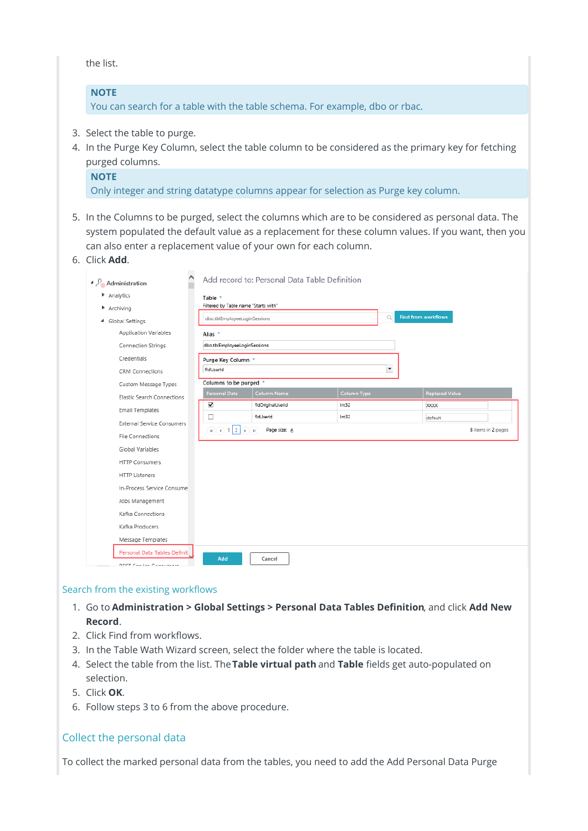the list.

#### **NOTE**

You can search for a table with the table schema. For example, dbo or rbac.

- 3. Select the table to purge.
- 4. In the Purge Key Column, select the table column to be considered as the primary key for fetching purged columns.

#### **NOTE**

Only integer and string datatype columns appear for selection as Purge key column.

- 5. In the Columns to be purged, select the columns which are to be considered as personal data. The system populated the default value as a replacement for these column values. If you want, then you can also enter a replacement value of your own for each column.
- 6. Click **Add**.

| ∧<br>Administration                                       |                                                 | Add record to: Personal Data Table Definition |                          |                            |                    |
|-----------------------------------------------------------|-------------------------------------------------|-----------------------------------------------|--------------------------|----------------------------|--------------------|
| Analytics                                                 | Table *<br>Filtered by Table name "Starts with" |                                               |                          |                            |                    |
| Archiving<br>4 Global Settings                            | dbo.tblEmployeeLoginSessions                    |                                               | $\mathbb Q$              | <b>Find from workflows</b> |                    |
| Application Variables                                     | Alias *                                         |                                               |                          |                            |                    |
| Connection Strings                                        | dbo.tblEmployeeLoginSessions                    |                                               |                          |                            |                    |
| Credentials                                               | Purge Key Column *                              |                                               |                          |                            |                    |
| <b>CRM Connections</b>                                    | fidUserid                                       |                                               | $\overline{\phantom{a}}$ |                            |                    |
| Custom Message Types                                      | Columns to be purged *<br>Personal Data         | Column Name                                   | Column Type              | <b>Replaced Value</b>      |                    |
| Elastic Search Connections                                | ⊽                                               | fldOriginalUserId                             | Int32                    | <b>XXXX</b>                |                    |
| <b>Email Templates</b>                                    | □                                               | fidUserid                                     | Int32                    | default                    |                    |
| <b>External Service Consumers</b><br>File Connections     | $H$ ( $\bullet$ ) 1 2 $\bullet$ ) $H$           | Page size: 6                                  |                          |                            | 8 items in 2 pages |
| Global Variables                                          |                                                 |                                               |                          |                            |                    |
| <b>HTTP Consumers</b>                                     |                                                 |                                               |                          |                            |                    |
| <b>HTTP Listeners</b>                                     |                                                 |                                               |                          |                            |                    |
| In-Process Service Consume                                |                                                 |                                               |                          |                            |                    |
| Jobs Management                                           |                                                 |                                               |                          |                            |                    |
| Kafka Connections                                         |                                                 |                                               |                          |                            |                    |
| Kafka Producers                                           |                                                 |                                               |                          |                            |                    |
| Message Templates                                         |                                                 |                                               |                          |                            |                    |
| Personal Data Tables Definit<br>DECT Candon Communication | Add                                             | Cancel                                        |                          |                            |                    |

#### Search from the existing workflows

- 1. Go to **Administration > Global Settings > Personal Data Tables Definition**, and click **Add New Record**.
- 2. Click Find from workflows.
- 3. In the Table Wath Wizard screen, select the folder where the table is located.
- 4. Select the table from the list. The**Table virtual path** and **Table** fields get auto-populated on selection.
- 5. Click **OK**.
- 6. Follow steps 3 to 6 from the above procedure.

### Collect the personal data

To collect the marked personal data from the tables, you need to add the Add Personal Data Purge